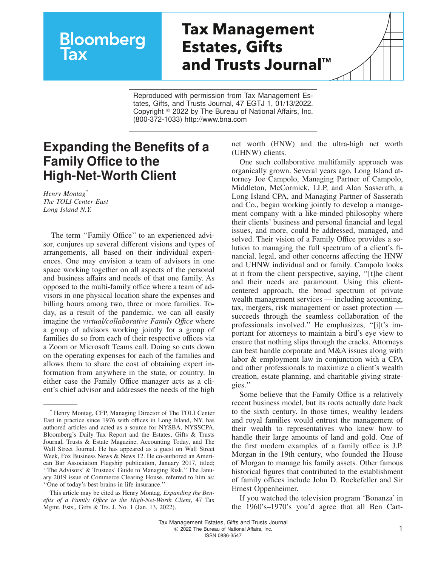## **Bloomberg** <u>lax</u>

## **Tax Management Estates, Gifts and Trusts JournalTM**

Reproduced with permission from Tax Management Estates, Gifts, and Trusts Journal, 47 EGTJ 1, 01/13/2022. Copyright  $\degree$  2022 by The Bureau of National Affairs, Inc. (800-372-1033) http://www.bna.com

## **Expanding the Benefits of a Family Office to the High-Net-Worth Client**

*Henry Montag\* The TOLI Center East Long Island N.Y.*

The term "Family Office" to an experienced advisor, conjures up several different visions and types of arrangements, all based on their individual experiences. One may envision a team of advisors in one space working together on all aspects of the personal and business affairs and needs of that one family. As opposed to the multi-family office where a team of advisors in one physical location share the expenses and billing hours among two, three or more families. Today, as a result of the pandemic, we can all easily imagine the *virtual/collaborative Family Offıce* where a group of advisors working jointly for a group of families do so from each of their respective offices via a Zoom or Microsoft Teams call. Doing so cuts down on the operating expenses for each of the families and allows them to share the cost of obtaining expert information from anywhere in the state, or country. In either case the Family Office manager acts as a client's chief advisor and addresses the needs of the high net worth (HNW) and the ultra-high net worth (UHNW) clients.

One such collaborative multifamily approach was organically grown. Several years ago, Long Island attorney Joe Campolo, Managing Partner of Campolo, Middleton, McCormick, LLP, and Alan Sasserath, a Long Island CPA, and Managing Partner of Sasserath and Co., began working jointly to develop a management company with a like-minded philosophy where their clients' business and personal financial and legal issues, and more, could be addressed, managed, and solved. Their vision of a Family Office provides a solution to managing the full spectrum of a client's financial, legal, and other concerns affecting the HNW and UHNW individual and or family. Campolo looks at it from the client perspective, saying, ''[t]he client and their needs are paramount. Using this clientcentered approach, the broad spectrum of private wealth management services — including accounting, tax, mergers, risk management or asset protection succeeds through the seamless collaboration of the professionals involved.'' He emphasizes, ''[i]t's important for attorneys to maintain a bird's eye view to ensure that nothing slips through the cracks. Attorneys can best handle corporate and M&A issues along with labor & employment law in conjunction with a CPA and other professionals to maximize a client's wealth creation, estate planning, and charitable giving strategies.''

Some believe that the Family Office is a relatively recent business model, but its roots actually date back to the sixth century. In those times, wealthy leaders and royal families would entrust the management of their wealth to representatives who knew how to handle their large amounts of land and gold. One of the first modern examples of a family office is J.P. Morgan in the 19th century, who founded the House of Morgan to manage his family assets. Other famous historical figures that contributed to the establishment of family offices include John D. Rockefeller and Sir Ernest Oppenheimer.

If you watched the television program 'Bonanza' in the 1960's–1970's you'd agree that all Ben Cart-

<sup>\*</sup> Henry Montag, CFP, Managing Director of The TOLI Center East in practice since 1976 with offices in Long Island, NY, has authored articles and acted as a source for NYSBA, NYSSCPA, Bloomberg's Daily Tax Report and the Estates, Gifts & Trusts Journal, Trusts & Estate Magazine, Accounting Today, and The Wall Street Journal. He has appeared as a guest on Wall Street Week, Fox Business News & News 12. He co-authored an American Bar Association Flagship publication, January 2017, titled; ''The Advisors' & Trustees' Guide to Managing Risk.'' The January 2019 issue of Commerce Clearing House, referred to him as; ''One of today's best brains in life insurance.''

This article may be cited as Henry Montag, *Expanding the Benefits of a Family Offıce to the High-Net-Worth Client*, 47 Tax Mgmt. Ests,, Gifts & Trs. J. No. 1 (Jan. 13, 2022).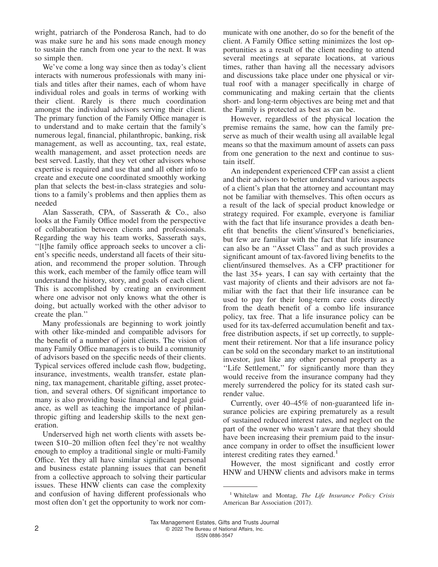wright, patriarch of the Ponderosa Ranch, had to do was make sure he and his sons made enough money to sustain the ranch from one year to the next. It was so simple then.

We've come a long way since then as today's client interacts with numerous professionals with many initials and titles after their names, each of whom have individual roles and goals in terms of working with their client. Rarely is there much coordination amongst the individual advisors serving their client. The primary function of the Family Office manager is to understand and to make certain that the family's numerous legal, financial, philanthropic, banking, risk management, as well as accounting, tax, real estate, wealth management, and asset protection needs are best served. Lastly, that they vet other advisors whose expertise is required and use that and all other info to create and execute one coordinated smoothly working plan that selects the best-in-class strategies and solutions to a family's problems and then applies them as needed

Alan Sasserath, CPA, of Sasserath & Co., also looks at the Family Office model from the perspective of collaboration between clients and professionals. Regarding the way his team works, Sasserath says, ''[t]he family office approach seeks to uncover a client's specific needs, understand all facets of their situation, and recommend the proper solution. Through this work, each member of the family office team will understand the history, story, and goals of each client. This is accomplished by creating an environment where one advisor not only knows what the other is doing, but actually worked with the other advisor to create the plan.''

Many professionals are beginning to work jointly with other like-minded and compatible advisors for the benefit of a number of joint clients. The vision of many Family Office managers is to build a community of advisors based on the specific needs of their clients. Typical services offered include cash flow, budgeting, insurance, investments, wealth transfer, estate planning, tax management, charitable gifting, asset protection, and several others. Of significant importance to many is also providing basic financial and legal guidance, as well as teaching the importance of philanthropic gifting and leadership skills to the next generation.

Underserved high net worth clients with assets between \$10–20 million often feel they're not wealthy enough to employ a traditional single or multi-Family Office. Yet they all have similar significant personal and business estate planning issues that can benefit from a collective approach to solving their particular issues. These HNW clients can case the complexity and confusion of having different professionals who most often don't get the opportunity to work nor communicate with one another, do so for the benefit of the client. A Family Office setting minimizes the lost opportunities as a result of the client needing to attend several meetings at separate locations, at various times, rather than having all the necessary advisors and discussions take place under one physical or virtual roof with a manager specifically in charge of communicating and making certain that the clients short- and long-term objectives are being met and that the Family is protected as best as can be.

However, regardless of the physical location the premise remains the same, how can the family preserve as much of their wealth using all available legal means so that the maximum amount of assets can pass from one generation to the next and continue to sustain itself.

An independent experienced CFP can assist a client and their advisors to better understand various aspects of a client's plan that the attorney and accountant may not be familiar with themselves. This often occurs as a result of the lack of special product knowledge or strategy required. For example, everyone is familiar with the fact that life insurance provides a death benefit that benefits the client's/insured's beneficiaries, but few are familiar with the fact that life insurance can also be an ''Asset Class'' and as such provides a significant amount of tax-favored living benefits to the client/insured themselves. As a CFP practitioner for the last 35+ years, I can say with certainty that the vast majority of clients and their advisors are not familiar with the fact that their life insurance can be used to pay for their long-term care costs directly from the death benefit of a combo life insurance policy, tax free. That a life insurance policy can be used for its tax-deferred accumulation benefit and taxfree distribution aspects, if set up correctly, to supplement their retirement. Nor that a life insurance policy can be sold on the secondary market to an institutional investor, just like any other personal property as a ''Life Settlement,'' for significantly more than they would receive from the insurance company had they merely surrendered the policy for its stated cash surrender value.

Currently, over 40–45% of non-guaranteed life insurance policies are expiring prematurely as a result of sustained reduced interest rates, and neglect on the part of the owner who wasn't aware that they should have been increasing their premium paid to the insurance company in order to offset the insufficient lower interest crediting rates they earned.<sup>1</sup>

However, the most significant and costly error HNW and UHNW clients and advisors make in terms

<sup>1</sup> Whitelaw and Montag, *The Life Insurance Policy Crisis* American Bar Association (2017).

Tax Management Estates, Gifts and Trusts Journal 2 **2** 2022 The Bureau of National Affairs, Inc. ISSN 0886-3547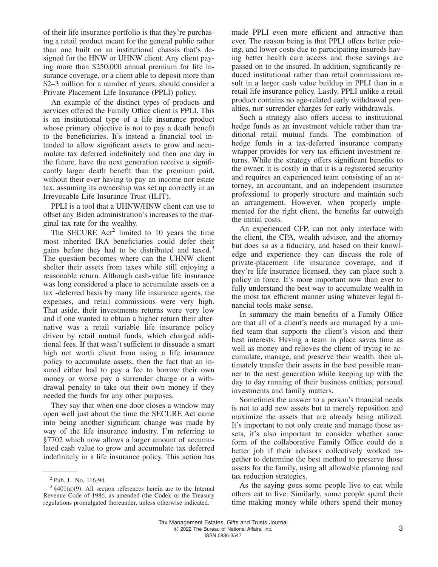of their life insurance portfolio is that they're purchasing a retail product meant for the general public rather than one built on an institutional chassis that's designed for the HNW or UHNW client. Any client paying more than \$250,000 annual premium for life insurance coverage, or a client able to deposit more than \$2–3 million for a number of years, should consider a Private Placement Life Insurance (PPLI) policy.

An example of the distinct types of products and services offered the Family Office client is PPLI. This is an institutional type of a life insurance product whose primary objective is not to pay a death benefit to the beneficiaries. It's instead a financial tool intended to allow significant assets to grow and accumulate tax deferred indefinitely and then one day in the future, have the next generation receive a significantly larger death benefit than the premium paid, without their ever having to pay an income nor estate tax, assuming its ownership was set up correctly in an Irrevocable Life Insurance Trust (ILIT).

PPLI is a tool that a UHNW/HNW client can use to offset any Biden administration's increases to the marginal tax rate for the wealthy.

The SECURE  $Act^2$  limited to 10 years the time most inherited IRA beneficiaries could defer their gains before they had to be distributed and taxed.<sup>3</sup> The question becomes where can the UHNW client shelter their assets from taxes while still enjoying a reasonable return. Although cash-value life insurance was long considered a place to accumulate assets on a tax -deferred basis by many life insurance agents, the expenses, and retail commissions were very high. That aside, their investments returns were very low and if one wanted to obtain a higher return their alternative was a retail variable life insurance policy driven by retail mutual funds, which charged additional fees. If that wasn't sufficient to dissuade a smart high net worth client from using a life insurance policy to accumulate assets, then the fact that an insured either had to pay a fee to borrow their own money or worse pay a surrender charge or a withdrawal penalty to take out their own money if they needed the funds for any other purposes.

They say that when one door closes a window may open well just about the time the SECURE Act came into being another significant change was made by way of the life insurance industry. I'm referring to §7702 which now allows a larger amount of accumulated cash value to grow and accumulate tax deferred indefinitely in a life insurance policy. This action has

made PPLI even more efficient and attractive than ever. The reason being is that PPLI offers better pricing, and lower costs due to participating insureds having better health care access and those savings are passed on to the insured. In addition, significantly reduced institutional rather than retail commissions result in a larger cash value buildup in PPLI than in a retail life insurance policy. Lastly, PPLI unlike a retail product contains no age-related early withdrawal penalties, nor surrender charges for early withdrawals.

Such a strategy also offers access to institutional hedge funds as an investment vehicle rather than traditional retail mutual funds. The combination of hedge funds in a tax-deferred insurance company wrapper provides for very tax efficient investment returns. While the strategy offers significant benefits to the owner, it is costly in that it is a registered security and requires an experienced team consisting of an attorney, an accountant, and an independent insurance professional to properly structure and maintain such an arrangement. However, when properly implemented for the right client, the benefits far outweigh the initial costs.

An experienced CFP, can not only interface with the client, the CPA, wealth advisor, and the attorney but does so as a fiduciary, and based on their knowledge and experience they can discuss the role of private-placement life insurance coverage, and if they're life insurance licensed, they can place such a policy in force. It's more important now than ever to fully understand the best way to accumulate wealth in the most tax efficient manner using whatever legal financial tools make sense.

In summary the main benefits of a Family Office are that all of a client's needs are managed by a unified team that supports the client's vision and their best interests. Having a team in place saves time as well as money and relieves the client of trying to accumulate, manage, and preserve their wealth, then ultimately transfer their assets in the best possible manner to the next generation while keeping up with the day to day running of their business entities, personal investments and family matters.

Sometimes the answer to a person's financial needs is not to add new assets but to merely reposition and maximize the assets that are already being utilized. It's important to not only create and manage those assets, it's also important to consider whether some form of the collaborative Family Office could do a better job if their advisors collectively worked together to determine the best method to preserve those assets for the family, using all allowable planning and tax reduction strategies.

As the saying goes some people live to eat while others eat to live. Similarly, some people spend their time making money while others spend their money

<sup>2</sup> Pub. L. No. 116-94.

 $3 \text{ } \frac{2401(a)(9)}{241}$ . All section references herein are to the Internal Revenue Code of 1986, as amended (the Code), or the Treasury regulations promulgated thereunder, unless otherwise indicated.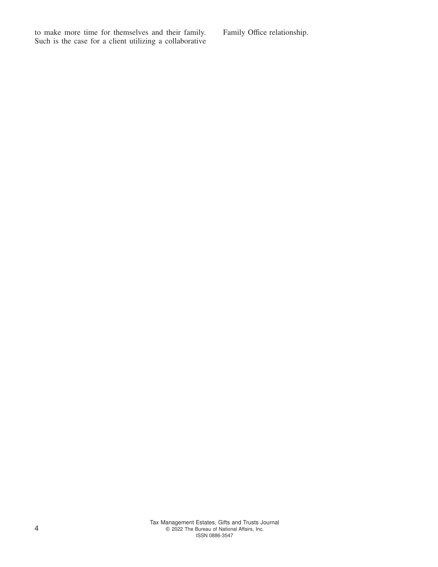to make more time for themselves and their family. Such is the case for a client utilizing a collaborative Family Office relationship.